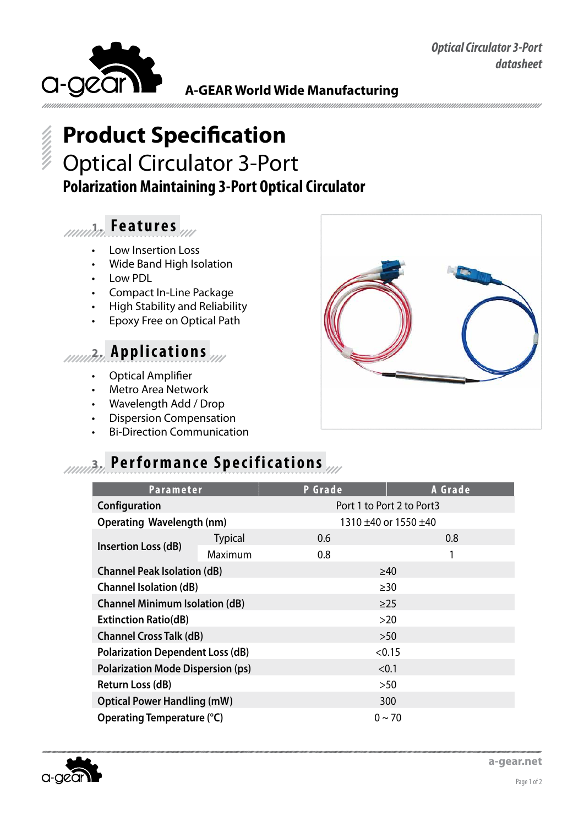*Optical Circulator 3-Port datasheet*



**A-GEAR World Wide Manufacturing**

# **Product Specification** Optical Circulator 3-Port **Polarization Maintaining 3-Port Optical Circulator**

## **1. Fe a t u r e s**

- • Low Insertion Loss
- **Wide Band High Isolation**
- • Low PDL
- • Compact In-Line Package
- • High Stability and Reliability
- **Epoxy Free on Optical Path**

## **2. Applications**

- **Optical Amplifier**
- **Metro Area Network**
- Wavelength Add / Drop
- **Dispersion Compensation**
- **Bi-Direction Communication**

## **10003.** Performance Specifications

| <b>Parameter</b>                         |                | <b>P</b> Grade            | A Grade     |  |
|------------------------------------------|----------------|---------------------------|-------------|--|
| Configuration                            |                | Port 1 to Port 2 to Port3 |             |  |
| <b>Operating Wavelength (nm)</b>         |                | 1310 ±40 or 1550 ±40      |             |  |
| Insertion Loss (dB)                      | <b>Typical</b> | 0.6                       | 0.8         |  |
|                                          | Maximum        | 0.8                       | 1           |  |
| <b>Channel Peak Isolation (dB)</b>       |                | $\geq 40$                 |             |  |
| <b>Channel Isolation (dB)</b>            |                | >30                       |             |  |
| <b>Channel Minimum Isolation (dB)</b>    |                | $\geq$ 25                 |             |  |
| <b>Extinction Ratio(dB)</b>              |                | >20                       |             |  |
| <b>Channel Cross Talk (dB)</b>           |                | $>50$                     |             |  |
| <b>Polarization Dependent Loss (dB)</b>  |                | < 0.15                    |             |  |
| <b>Polarization Mode Dispersion (ps)</b> |                | < 0.1                     |             |  |
| Return Loss (dB)                         |                | >50                       |             |  |
| <b>Optical Power Handling (mW)</b>       |                | 300                       |             |  |
| Operating Temperature (°C)               |                |                           | $0 \sim 70$ |  |